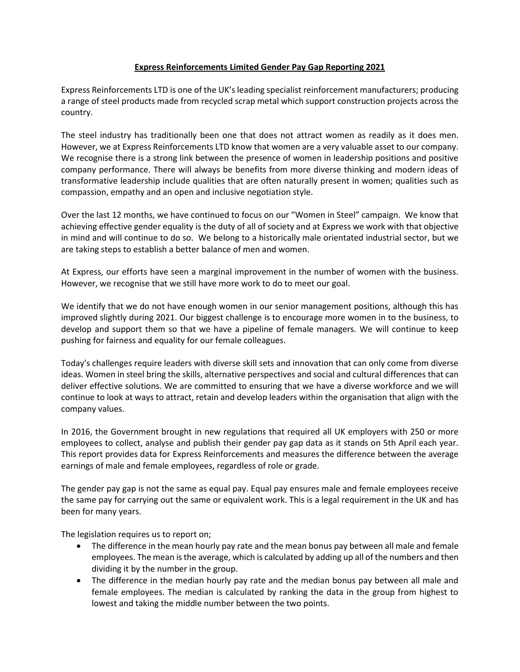# **Express Reinforcements Limited Gender Pay Gap Reporting 2021**

Express Reinforcements LTD is one of the UK's leading specialist reinforcement manufacturers; producing a range of steel products made from recycled scrap metal which support construction projects across the country.

The steel industry has traditionally been one that does not attract women as readily as it does men. However, we at Express Reinforcements LTD know that women are a very valuable asset to our company. We recognise there is a strong link between the presence of women in leadership positions and positive company performance. There will always be benefits from more diverse thinking and modern ideas of transformative leadership include qualities that are often naturally present in women; qualities such as compassion, empathy and an open and inclusive negotiation style.

Over the last 12 months, we have continued to focus on our "Women in Steel" campaign. We know that achieving effective gender equality is the duty of all of society and at Express we work with that objective in mind and will continue to do so. We belong to a historically male orientated industrial sector, but we are taking steps to establish a better balance of men and women.

At Express, our efforts have seen a marginal improvement in the number of women with the business. However, we recognise that we still have more work to do to meet our goal.

We identify that we do not have enough women in our senior management positions, although this has improved slightly during 2021. Our biggest challenge is to encourage more women in to the business, to develop and support them so that we have a pipeline of female managers. We will continue to keep pushing for fairness and equality for our female colleagues.

Today's challenges require leaders with diverse skill sets and innovation that can only come from diverse ideas. Women in steel bring the skills, alternative perspectives and social and cultural differences that can deliver effective solutions. We are committed to ensuring that we have a diverse workforce and we will continue to look at ways to attract, retain and develop leaders within the organisation that align with the company values.

In 2016, the Government brought in new regulations that required all UK employers with 250 or more employees to collect, analyse and publish their gender pay gap data as it stands on 5th April each year. This report provides data for Express Reinforcements and measures the difference between the average earnings of male and female employees, regardless of role or grade.

The gender pay gap is not the same as equal pay. Equal pay ensures male and female employees receive the same pay for carrying out the same or equivalent work. This is a legal requirement in the UK and has been for many years.

The legislation requires us to report on;

- The difference in the mean hourly pay rate and the mean bonus pay between all male and female employees. The mean is the average, which is calculated by adding up all of the numbers and then dividing it by the number in the group.
- The difference in the median hourly pay rate and the median bonus pay between all male and female employees. The median is calculated by ranking the data in the group from highest to lowest and taking the middle number between the two points.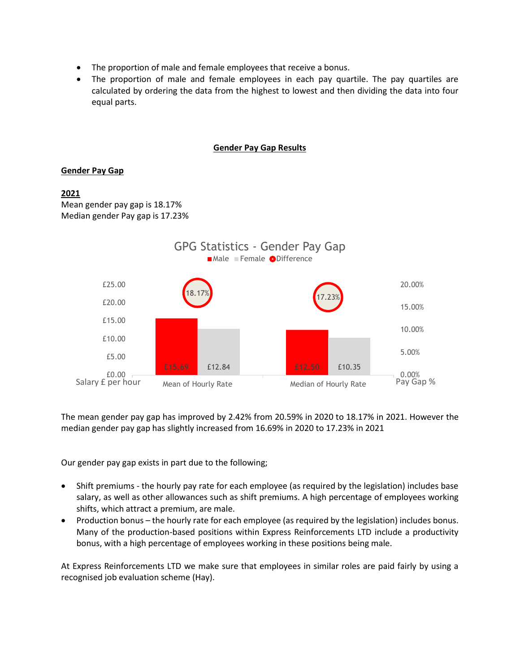- The proportion of male and female employees that receive a bonus.
- The proportion of male and female employees in each pay quartile. The pay quartiles are calculated by ordering the data from the highest to lowest and then dividing the data into four equal parts.

## **Gender Pay Gap Results**

# **Gender Pay Gap**

# **2021**

Mean gender pay gap is 18.17% Median gender Pay gap is 17.23%



The mean gender pay gap has improved by 2.42% from 20.59% in 2020 to 18.17% in 2021. However the median gender pay gap has slightly increased from 16.69% in 2020 to 17.23% in 2021

Our gender pay gap exists in part due to the following;

- Shift premiums the hourly pay rate for each employee (as required by the legislation) includes base salary, as well as other allowances such as shift premiums. A high percentage of employees working shifts, which attract a premium, are male.
- Production bonus the hourly rate for each employee (as required by the legislation) includes bonus. Many of the production-based positions within Express Reinforcements LTD include a productivity bonus, with a high percentage of employees working in these positions being male.

At Express Reinforcements LTD we make sure that employees in similar roles are paid fairly by using a recognised job evaluation scheme (Hay).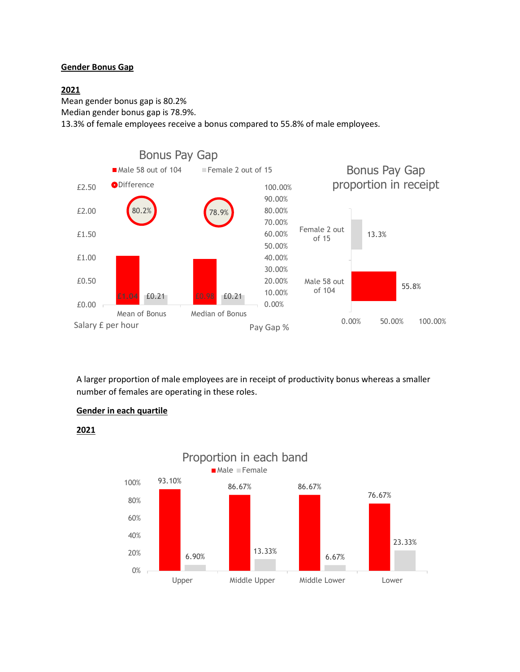# **Gender Bonus Gap**

# **2021**

Mean gender bonus gap is 80.2%

Median gender bonus gap is 78.9%.

13.3% of female employees receive a bonus compared to 55.8% of male employees.



A larger proportion of male employees are in receipt of productivity bonus whereas a smaller number of females are operating in these roles.

13.33%

Upper Middle Upper Middle Lower Lower

76.67%

23.33%

6.67%

# **Gender in each quartile**

0%

20%



6.90%

# **2021**